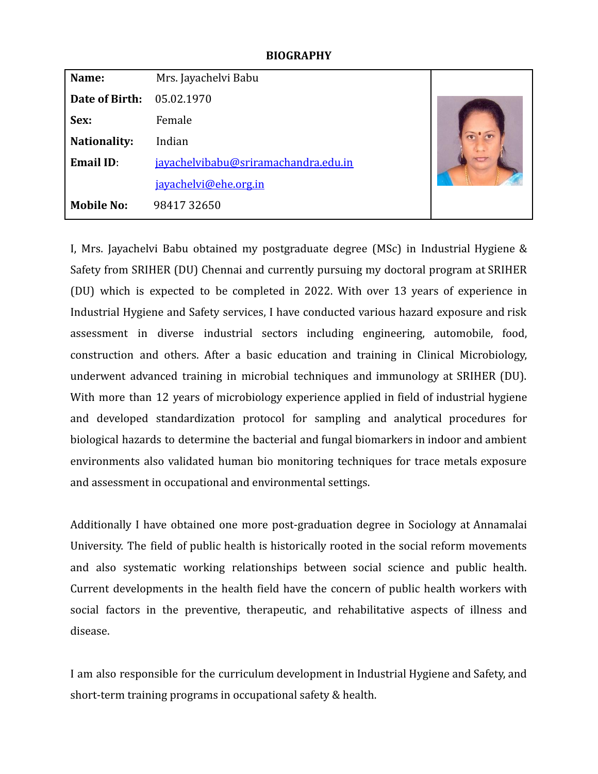#### **BIOGRAPHY**

| Name:               | Mrs. Jayachelvi Babu                 |  |
|---------------------|--------------------------------------|--|
| Date of Birth:      | 05.02.1970                           |  |
| Sex:                | Female                               |  |
| <b>Nationality:</b> | Indian                               |  |
| <b>Email ID:</b>    | javachelvibabu@sriramachandra.edu.in |  |
|                     | jayachelvi@ehe.org.in                |  |
| <b>Mobile No:</b>   | 9841732650                           |  |

I, Mrs. Jayachelvi Babu obtained my postgraduate degree (MSc) in Industrial Hygiene & Safety from SRIHER (DU) Chennai and currently pursuing my doctoral program at SRIHER (DU) which is expected to be completed in 2022. With over 13 years of experience in Industrial Hygiene and Safety services, I have conducted various hazard exposure and risk assessment in diverse industrial sectors including engineering, automobile, food, construction and others. After a basic education and training in Clinical Microbiology, underwent advanced training in microbial techniques and immunology at SRIHER (DU). With more than 12 years of microbiology experience applied in field of industrial hygiene and developed standardization protocol for sampling and analytical procedures for biological hazards to determine the bacterial and fungal biomarkers in indoor and ambient environments also validated human bio monitoring techniques for trace metals exposure and assessment in occupational and environmental settings.

Additionally I have obtained one more post-graduation degree in Sociology at Annamalai University. The field of public health is historically rooted in the social reform movements and also systematic working relationships between social science and public health. Current developments in the health field have the concern of public health workers with social factors in the preventive, therapeutic, and rehabilitative aspects of illness and disease.

I am also responsible for the curriculum development in Industrial Hygiene and Safety, and short-term training programs in occupational safety & health.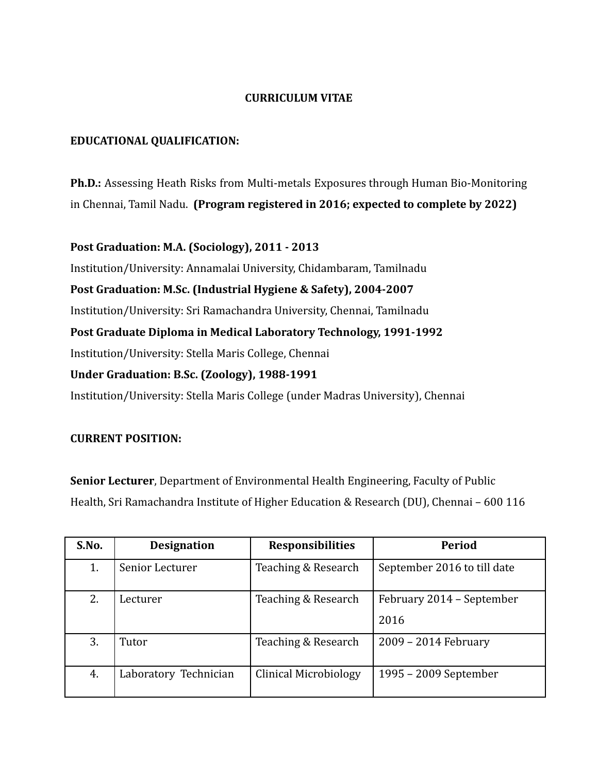#### **CURRICULUM VITAE**

#### **EDUCATIONAL QUALIFICATION:**

**Ph.D.:** Assessing Heath Risks from Multi-metals Exposures through Human Bio-Monitoring in Chennai, Tamil Nadu. **(Program registered in 2016; expected to complete by 2022)**

**Post Graduation: M.A. (Sociology), 2011 - 2013**

Institution/University: Annamalai University, Chidambaram, Tamilnadu **Post Graduation: M.Sc. (Industrial Hygiene & Safety), 2004-2007** Institution/University: Sri Ramachandra University, Chennai, Tamilnadu **Post Graduate Diploma in Medical Laboratory Technology, 1991-1992** Institution/University: Stella Maris College, Chennai **Under Graduation: B.Sc. (Zoology), 1988-1991** Institution/University: Stella Maris College (under Madras University), Chennai

#### **CURRENT POSITION:**

**Senior Lecturer**, Department of Environmental Health Engineering, Faculty of Public Health, Sri Ramachandra Institute of Higher Education & Research (DU), Chennai – 600 116

| S.No. | <b>Designation</b>    | <b>Responsibilities</b> | Period                            |
|-------|-----------------------|-------------------------|-----------------------------------|
| 1.    | Senior Lecturer       | Teaching & Research     | September 2016 to till date       |
| 2.    | Lecturer              | Teaching & Research     | February 2014 – September<br>2016 |
| 3.    | Tutor                 | Teaching & Research     | 2009 - 2014 February              |
| 4.    | Laboratory Technician | Clinical Microbiology   | 1995 – 2009 September             |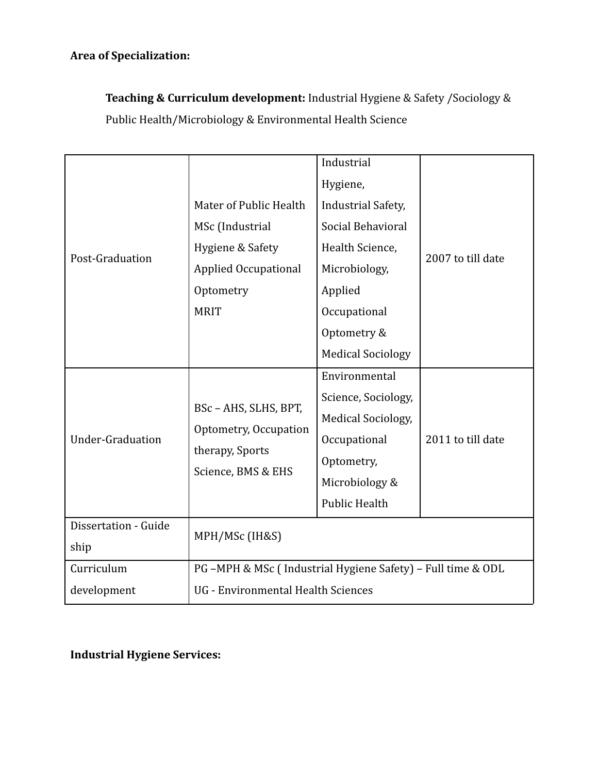# **Area of Specialization:**

**Teaching & Curriculum development:** Industrial Hygiene & Safety /Sociology & Public Health/Microbiology & Environmental Health Science

|                         |                                                                                         | Industrial                 |                   |  |
|-------------------------|-----------------------------------------------------------------------------------------|----------------------------|-------------------|--|
|                         |                                                                                         | Hygiene,                   |                   |  |
|                         | Mater of Public Health                                                                  | <b>Industrial Safety,</b>  |                   |  |
|                         | MSc (Industrial                                                                         | Social Behavioral          |                   |  |
| Post-Graduation         | Hygiene & Safety                                                                        | Health Science,            | 2007 to till date |  |
|                         | Applied Occupational                                                                    | Microbiology,              |                   |  |
|                         | Optometry                                                                               | Applied                    |                   |  |
|                         | <b>MRIT</b>                                                                             | Occupational               |                   |  |
|                         |                                                                                         | Optometry &                |                   |  |
|                         |                                                                                         | <b>Medical Sociology</b>   |                   |  |
|                         | BSc - AHS, SLHS, BPT,<br>Optometry, Occupation<br>therapy, Sports<br>Science, BMS & EHS | Environmental              |                   |  |
|                         |                                                                                         | Science, Sociology,        |                   |  |
|                         |                                                                                         | <b>Medical Sociology</b> , |                   |  |
| <b>Under-Graduation</b> |                                                                                         | Occupational               | 2011 to till date |  |
|                         |                                                                                         | Optometry,                 |                   |  |
|                         |                                                                                         | Microbiology &             |                   |  |
|                         |                                                                                         | <b>Public Health</b>       |                   |  |
| Dissertation - Guide    |                                                                                         |                            |                   |  |
| ship                    | MPH/MSc (IH&S)                                                                          |                            |                   |  |
| Curriculum              | PG -MPH & MSc (Industrial Hygiene Safety) - Full time & ODL                             |                            |                   |  |
| development             | UG - Environmental Health Sciences                                                      |                            |                   |  |

# **Industrial Hygiene Services:**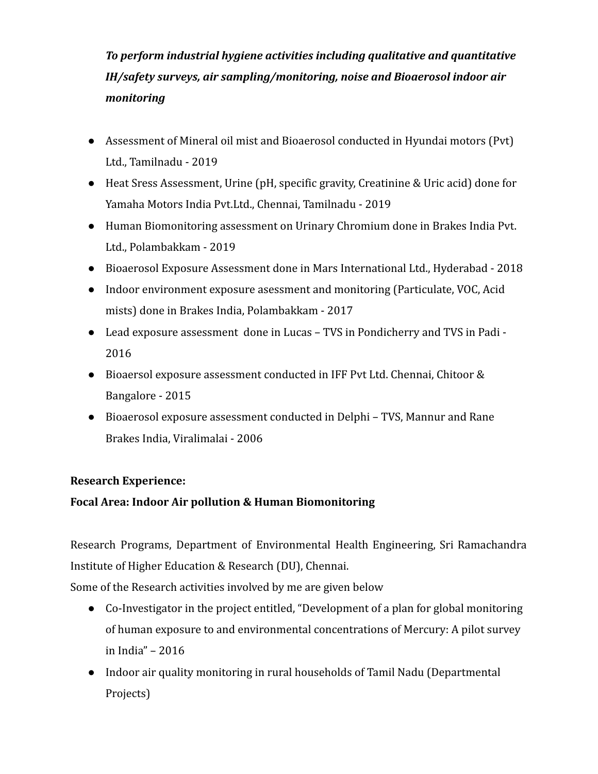# *To perform industrial hygiene activities including qualitative and quantitative IH/safety surveys, air sampling/monitoring, noise and Bioaerosol indoor air monitoring*

- Assessment of Mineral oil mist and Bioaerosol conducted in Hyundai motors (Pvt) Ltd., Tamilnadu - 2019
- Heat Sress Assessment, Urine (pH, specific gravity, Creatinine & Uric acid) done for Yamaha Motors India Pvt.Ltd., Chennai, Tamilnadu - 2019
- Human Biomonitoring assessment on Urinary Chromium done in Brakes India Pvt. Ltd., Polambakkam - 2019
- Bioaerosol Exposure Assessment done in Mars International Ltd., Hyderabad 2018
- Indoor environment exposure asessment and monitoring (Particulate, VOC, Acid mists) done in Brakes India, Polambakkam - 2017
- Lead exposure assessment done in Lucas TVS in Pondicherry and TVS in Padi 2016
- Bioaersol exposure assessment conducted in IFF Pvt Ltd. Chennai, Chitoor & Bangalore - 2015
- Bioaerosol exposure assessment conducted in Delphi TVS, Mannur and Rane Brakes India, Viralimalai - 2006

# **Research Experience:**

# **Focal Area: Indoor Air pollution & Human Biomonitoring**

Research Programs, Department of Environmental Health Engineering, Sri Ramachandra Institute of Higher Education & Research (DU), Chennai.

Some of the Research activities involved by me are given below

- **●** Co-Investigator in the project entitled, "Development of a plan for global monitoring of human exposure to and environmental concentrations of Mercury: A pilot survey in India" – 2016
- Indoor air quality monitoring in rural households of Tamil Nadu (Departmental Projects)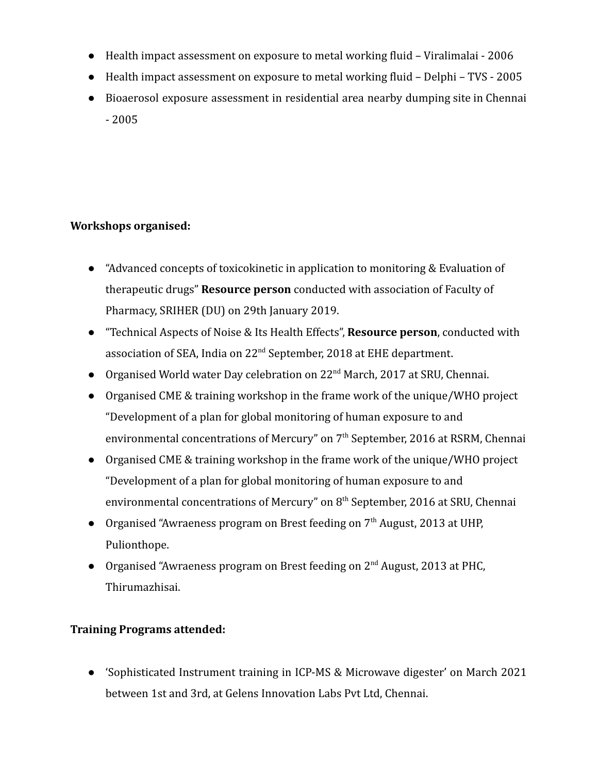- Health impact assessment on exposure to metal working fluid Viralimalai 2006
- Health impact assessment on exposure to metal working fluid Delphi TVS 2005
- Bioaerosol exposure assessment in residential area nearby dumping site in Chennai - 2005

# **Workshops organised:**

- "Advanced concepts of toxicokinetic in application to monitoring & Evaluation of therapeutic drugs" **Resource person** conducted with association of Faculty of Pharmacy, SRIHER (DU) on 29th January 2019.
- "Technical Aspects of Noise & Its Health Effects", **Resource person**, conducted with association of SEA, India on  $22<sup>nd</sup>$  September, 2018 at EHE department.
- Organised World water Day celebration on 22<sup>nd</sup> March, 2017 at SRU, Chennai.
- **●** Organised CME & training workshop in the frame work of the unique/WHO project "Development of a plan for global monitoring of human exposure to and environmental concentrations of Mercury" on  $7<sup>th</sup>$  September, 2016 at RSRM, Chennai
- Organised CME & training workshop in the frame work of the unique/WHO project "Development of a plan for global monitoring of human exposure to and environmental concentrations of Mercury" on  $8<sup>th</sup>$  September, 2016 at SRU, Chennai
- Organised "Awraeness program on Brest feeding on  $7<sup>th</sup>$  August, 2013 at UHP, Pulionthope.
- Organised "Awraeness program on Brest feeding on 2<sup>nd</sup> August, 2013 at PHC, Thirumazhisai.

# **Training Programs attended:**

● 'Sophisticated Instrument training in ICP-MS & Microwave digester' on March 2021 between 1st and 3rd, at Gelens Innovation Labs Pvt Ltd, Chennai.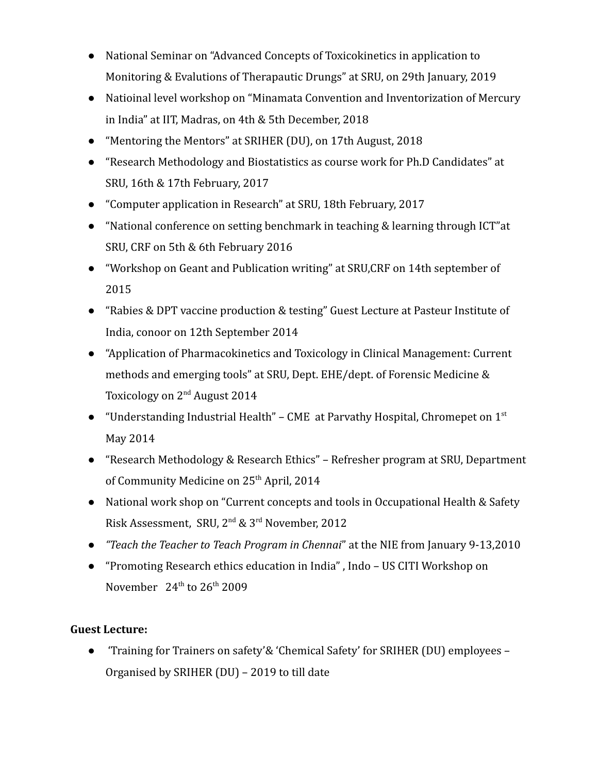- National Seminar on "Advanced Concepts of Toxicokinetics in application to Monitoring & Evalutions of Therapautic Drungs" at SRU, on 29th January, 2019
- Natioinal level workshop on "Minamata Convention and Inventorization of Mercury in India" at IIT, Madras, on 4th & 5th December, 2018
- "Mentoring the Mentors" at SRIHER (DU), on 17th August, 2018
- "Research Methodology and Biostatistics as course work for Ph.D Candidates" at SRU, 16th & 17th February, 2017
- "Computer application in Research" at SRU, 18th February, 2017
- "National conference on setting benchmark in teaching & learning through ICT"at SRU, CRF on 5th & 6th February 2016
- "Workshop on Geant and Publication writing" at SRU,CRF on 14th september of 2015
- "Rabies & DPT vaccine production & testing" Guest Lecture at Pasteur Institute of India, conoor on 12th September 2014
- "Application of Pharmacokinetics and Toxicology in Clinical Management: Current methods and emerging tools" at SRU, Dept. EHE/dept. of Forensic Medicine & Toxicology on 2nd August 2014
- "Understanding Industrial Health" CME at Parvathy Hospital, Chromepet on  $1<sup>st</sup>$ May 2014
- "Research Methodology & Research Ethics" Refresher program at SRU, Department of Community Medicine on 25<sup>th</sup> April, 2014
- National work shop on "Current concepts and tools in Occupational Health & Safety Risk Assessment, SRU, 2nd & 3rd November, 2012
- *"Teach the Teacher to Teach Program in Chennai*" at the NIE from January 9-13,2010
- **●** "Promoting Research ethics education in India" , Indo US CITI Workshop on November  $24<sup>th</sup>$  to  $26<sup>th</sup>$  2009

# **Guest Lecture:**

● 'Training for Trainers on safety'& 'Chemical Safety' for SRIHER (DU) employees – Organised by SRIHER (DU) – 2019 to till date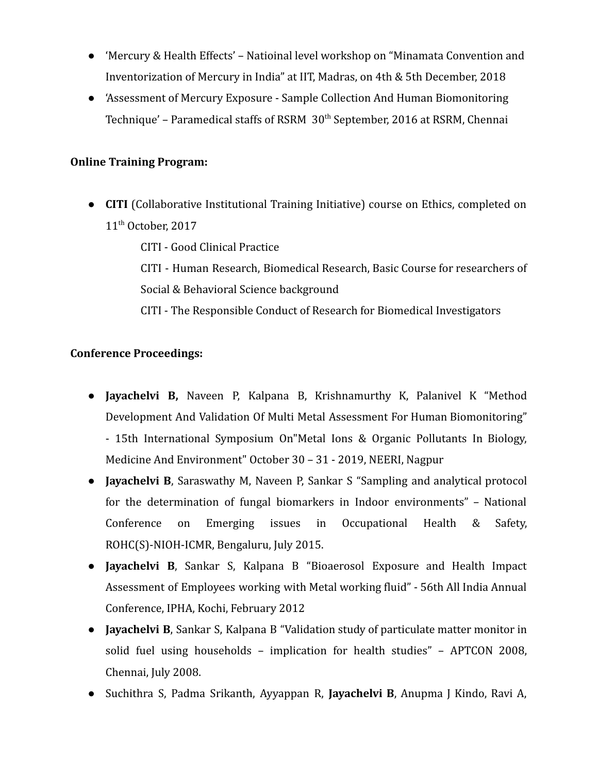- 'Mercury & Health Effects' Natioinal level workshop on "Minamata Convention and Inventorization of Mercury in India" at IIT, Madras, on 4th & 5th December, 2018
- **●** 'Assessment of Mercury Exposure Sample Collection And Human Biomonitoring Technique' – Paramedical staffs of RSRM 30<sup>th</sup> September, 2016 at RSRM, Chennai

#### **Online Training Program:**

**● CITI** (Collaborative Institutional Training Initiative) course on Ethics, completed on 11<sup>th</sup> October, 2017

CITI - Good Clinical Practice CITI - Human Research, Biomedical Research, Basic Course for researchers of Social & Behavioral Science background

CITI - The Responsible Conduct of Research for Biomedical Investigators

# **Conference Proceedings:**

- **Jayachelvi B,** Naveen P, Kalpana B, Krishnamurthy K, Palanivel K "Method Development And Validation Of Multi Metal Assessment For Human Biomonitoring" - 15th International Symposium On"Metal Ions & Organic Pollutants In Biology, Medicine And Environment" October 30 – 31 - 2019, NEERI, Nagpur
- **Jayachelvi B**, Saraswathy M, Naveen P, Sankar S "Sampling and analytical protocol for the determination of fungal biomarkers in Indoor environments" – National Conference on Emerging issues in Occupational Health & Safety, ROHC(S)-NIOH-ICMR, Bengaluru, July 2015.
- **Jayachelvi B**, Sankar S, Kalpana B "Bioaerosol Exposure and Health Impact Assessment of Employees working with Metal working fluid" - 56th All India Annual Conference, IPHA, Kochi, February 2012
- **Jayachelvi B**, Sankar S, Kalpana B "Validation study of particulate matter monitor in solid fuel using households – implication for health studies" – APTCON 2008, Chennai, July 2008.
- Suchithra S, Padma Srikanth, Ayyappan R, **Jayachelvi B**, Anupma J Kindo, Ravi A,